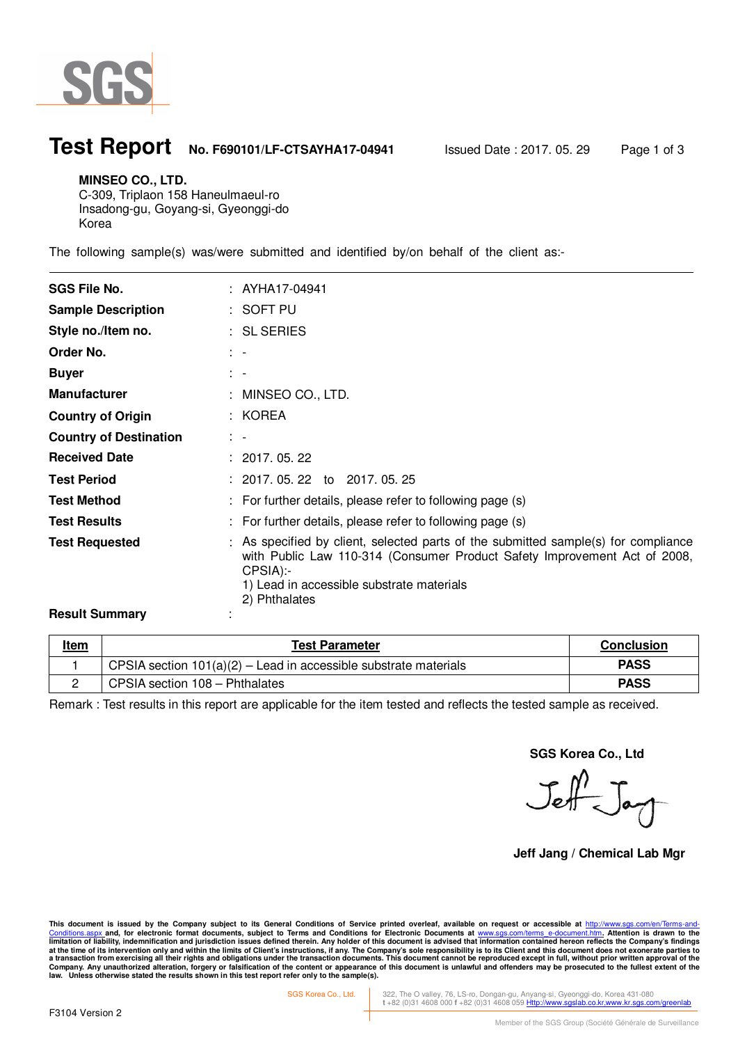

 $\ddot{\phantom{a}}$ 

## **Test Report No. F690101/LF-CTSAYHA17-04941** Issued Date : 2017. 05. 29 Page 1 of 3

#### **MINSEO CO., LTD.**

C-309, Triplaon 158 Haneulmaeul-ro Insadong-gu, Goyang-si, Gyeonggi-do Korea

The following sample(s) was/were submitted and identified by/on behalf of the client as:-

| <b>SGS File No.</b>           | : AYHA17-04941                                                                                                                                                                                                                            |
|-------------------------------|-------------------------------------------------------------------------------------------------------------------------------------------------------------------------------------------------------------------------------------------|
| <b>Sample Description</b>     | : SOFT PU                                                                                                                                                                                                                                 |
| Style no./Item no.            | : SL SERIES                                                                                                                                                                                                                               |
| Order No.                     | $\mathbb{R}^n$                                                                                                                                                                                                                            |
| <b>Buyer</b>                  | $\mathbb{R}^n$                                                                                                                                                                                                                            |
| <b>Manufacturer</b>           | : MINSEO CO., LTD.                                                                                                                                                                                                                        |
| <b>Country of Origin</b>      | : KOREA                                                                                                                                                                                                                                   |
| <b>Country of Destination</b> | $\mathbb{R}^n$                                                                                                                                                                                                                            |
| <b>Received Date</b>          | : 2017.05.22                                                                                                                                                                                                                              |
| <b>Test Period</b>            | $: 2017.05.22$ to 2017.05.25                                                                                                                                                                                                              |
| <b>Test Method</b>            | : For further details, please refer to following page (s)                                                                                                                                                                                 |
| <b>Test Results</b>           | : For further details, please refer to following page (s)                                                                                                                                                                                 |
| <b>Test Requested</b>         | : As specified by client, selected parts of the submitted sample(s) for compliance<br>with Public Law 110-314 (Consumer Product Safety Improvement Act of 2008,<br>CPSIA):-<br>1) Lead in accessible substrate materials<br>2) Phthalates |
| <b>Result Summary</b>         |                                                                                                                                                                                                                                           |

| <u>Item</u> | <b>Test Parameter</b>                                              | <b>Conclusion</b> |
|-------------|--------------------------------------------------------------------|-------------------|
|             | CPSIA section $101(a)(2)$ – Lead in accessible substrate materials | <b>PASS</b>       |
|             | CPSIA section 108 - Phthalates                                     | <b>PASS</b>       |

Remark : Test results in this report are applicable for the item tested and reflects the tested sample as received.

**SGS Korea Co., Ltd** 

Jeff Jay

**Jeff Jang / Chemical Lab Mgr** 

This document is issued by the Company subject to its General Conditions of Service printed overleaf, available on request or accessible at <u>http://www.sgs.com/en/Terms-and-</u><br><u>Conditions.aspx </u>and, for electronic format do limitation of liability, indemnification and jurisdiction issues defined therein. Any holder of this document is advised that information contained hereon reflects the Company's findings<br>at the time of its intervention onl

SGS Korea Co., Ltd. 322, The O valley, 76, LS-ro, Dongan-gu, Anyang-si, Gyeonggi-do, Korea 431-080 **t** +82 (0)31 4608 000 **f** +82 (0)31 4608 059 Http://www.sgslab.co.kr,www.kr.sgs.com/greenlab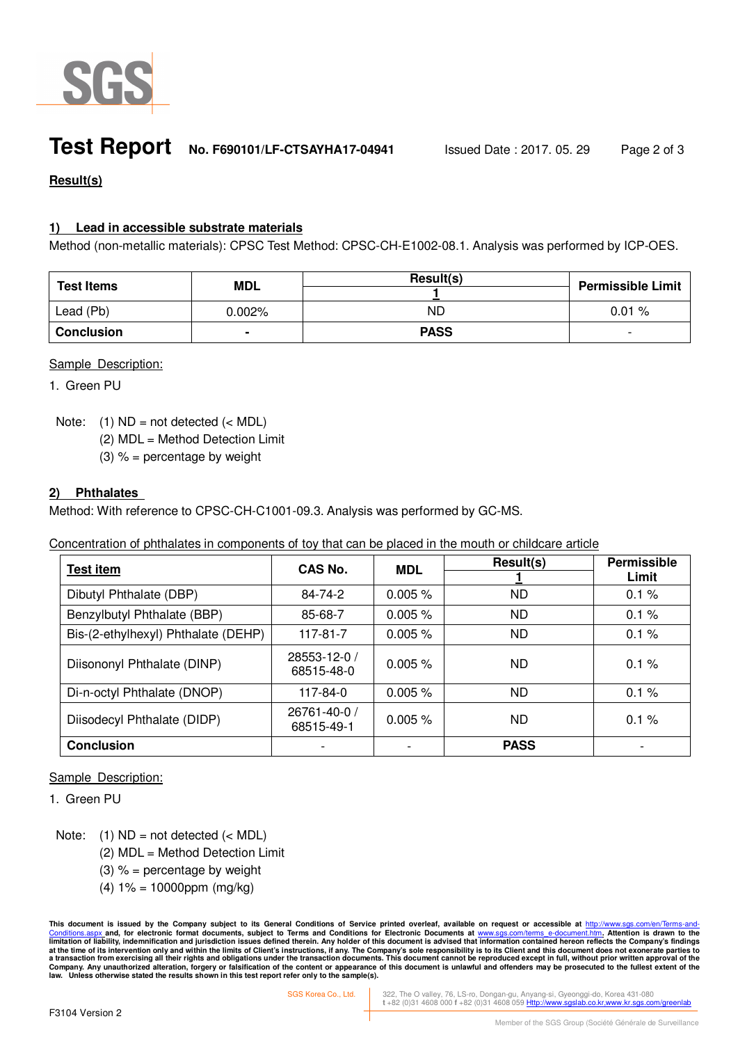

## **Test Report No. F690101/LF-CTSAYHA17-04941** Issued Date : 2017. 05. 29 Page 2 of 3

### **Result(s)**

### **1) Lead in accessible substrate materials**

Method (non-metallic materials): CPSC Test Method: CPSC-CH-E1002-08.1. Analysis was performed by ICP-OES.

| <b>Test Items</b> | <b>MDL</b> | Result(s)   | <b>Permissible Limit</b> |
|-------------------|------------|-------------|--------------------------|
| Lead (Pb)         | $0.002\%$  | ND          | 0.01%                    |
| <b>Conclusion</b> | ٠          | <b>PASS</b> | $\overline{\phantom{0}}$ |

#### Sample Description:

1. Green PU

Note:  $(1)$  ND = not detected  $(<sub>MDL</sub>)$ 

(2) MDL = Method Detection Limit

(3)  $% =$  percentage by weight

#### **2) Phthalates**

Method: With reference to CPSC-CH-C1001-09.3. Analysis was performed by GC-MS.

Concentration of phthalates in components of toy that can be placed in the mouth or childcare article

| <b>Test item</b>                    | CAS No.                    | <b>MDL</b> | Result(s)   | <b>Permissible</b> |
|-------------------------------------|----------------------------|------------|-------------|--------------------|
|                                     |                            |            |             | Limit              |
| Dibutyl Phthalate (DBP)             | 84-74-2                    | 0.005%     | ND.         | 0.1%               |
| Benzylbutyl Phthalate (BBP)         | 85-68-7                    | 0.005%     | ND.         | 0.1%               |
| Bis-(2-ethylhexyl) Phthalate (DEHP) | $117 - 81 - 7$             | 0.005%     | <b>ND</b>   | 0.1%               |
| Diisononyl Phthalate (DINP)         | 28553-12-0 /<br>68515-48-0 | 0.005%     | <b>ND</b>   | 0.1%               |
| Di-n-octyl Phthalate (DNOP)         | 117-84-0                   | $0.005 \%$ | ND.         | 0.1%               |
| Diisodecyl Phthalate (DIDP)         | 26761-40-0 /<br>68515-49-1 | 0.005%     | ND.         | 0.1%               |
| <b>Conclusion</b>                   |                            |            | <b>PASS</b> |                    |

#### Sample Description:

1. Green PU

Note:  $(1)$  ND = not detected  $(<sub>MDL</sub>)$ 

- (2) MDL = Method Detection Limit
- (3)  $% =$  percentage by weight
- $(4) 1\% = 10000$ ppm (mg/kg)

This document is issued by the Company subject to its General Conditions of Service printed overleaf, available on request or accessible at <u>http://www.sgs.com/en/Terms-and-</u><br><u>Conditions.aspx </u>and, for electronic format do limitation of liability, indemnification and jurisdiction issues defined therein. Any holder of this document is advised that information contained hereon reflects the Company's findings<br>at the time of its intervention onl